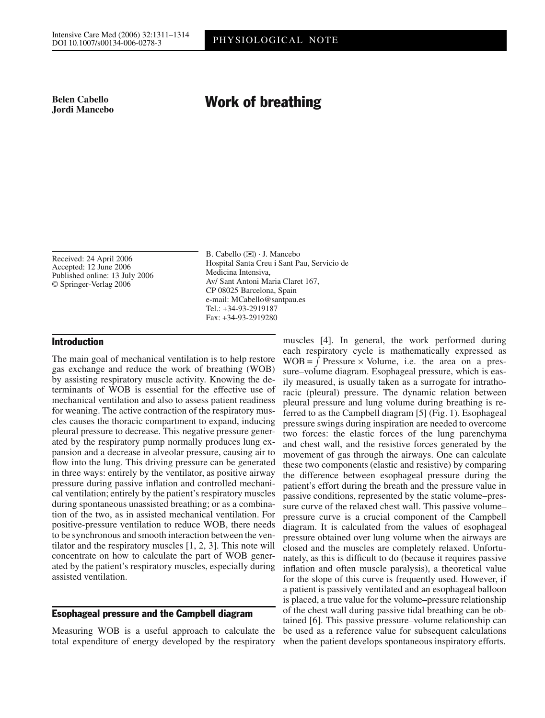**Belen Cabello**

# **Work of breathing**

Received: 24 April 2006 Accepted: 12 June 2006 Published online: 13 July 2006 © Springer-Verlag 2006

B. Cabello (✉) · J. Mancebo Hospital Santa Creu i Sant Pau, Servicio de Medicina Intensiva, Av/ Sant Antoni Maria Claret 167, CP 08025 Barcelona, Spain e-mail: MCabello@santpau.es Tel.: +34-93-2919187 Fax: +34-93-2919280

## Introduction

The main goal of mechanical ventilation is to help restore gas exchange and reduce the work of breathing (WOB) by assisting respiratory muscle activity. Knowing the determinants of WOB is essential for the effective use of mechanical ventilation and also to assess patient readiness for weaning. The active contraction of the respiratory muscles causes the thoracic compartment to expand, inducing pleural pressure to decrease. This negative pressure generated by the respiratory pump normally produces lung expansion and a decrease in alveolar pressure, causing air to flow into the lung. This driving pressure can be generated in three ways: entirely by the ventilator, as positive airway pressure during passive inflation and controlled mechanical ventilation; entirely by the patient's respiratory muscles during spontaneous unassisted breathing; or as a combination of the two, as in assisted mechanical ventilation. For positive-pressure ventilation to reduce WOB, there needs to be synchronous and smooth interaction between the ventilator and the respiratory muscles [1, 2, 3]. This note will concentrate on how to calculate the part of WOB generated by the patient's respiratory muscles, especially during assisted ventilation.

## Esophageal pressure and the Campbell diagram

Measuring WOB is a useful approach to calculate the total expenditure of energy developed by the respiratory muscles [4]. In general, the work performed during each respiratory cycle is mathematically expressed as  $WOB = \int$  Pressure  $\times$  Volume, i.e. the area on a pressure–volume diagram. Esophageal pressure, which is easily measured, is usually taken as a surrogate for intrathoracic (pleural) pressure. The dynamic relation between pleural pressure and lung volume during breathing is referred to as the Campbell diagram [5] (Fig. 1). Esophageal pressure swings during inspiration are needed to overcome two forces: the elastic forces of the lung parenchyma and chest wall, and the resistive forces generated by the movement of gas through the airways. One can calculate these two components (elastic and resistive) by comparing the difference between esophageal pressure during the patient's effort during the breath and the pressure value in passive conditions, represented by the static volume–pressure curve of the relaxed chest wall. This passive volume– pressure curve is a crucial component of the Campbell diagram. It is calculated from the values of esophageal pressure obtained over lung volume when the airways are closed and the muscles are completely relaxed. Unfortunately, as this is difficult to do (because it requires passive inflation and often muscle paralysis), a theoretical value for the slope of this curve is frequently used. However, if a patient is passively ventilated and an esophageal balloon is placed, a true value for the volume–pressure relationship of the chest wall during passive tidal breathing can be obtained [6]. This passive pressure–volume relationship can be used as a reference value for subsequent calculations when the patient develops spontaneous inspiratory efforts.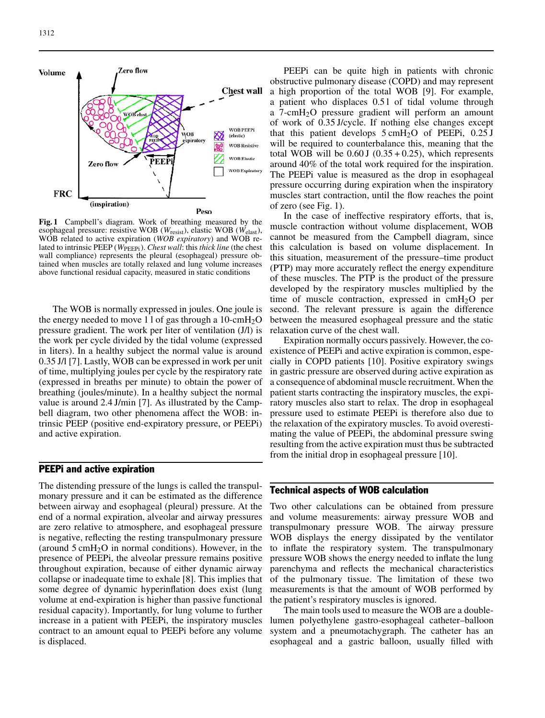

**Fig. 1** Campbell's diagram. Work of breathing measured by the esophageal pressure: resistive WOB (*W*resist), elastic WOB (*W*elast), WOB related to active expiration (*WOB expiratory*) and WOB related to intrinsic PEEP (*W*<sub>PEEPi</sub>). *Chest wall*: this *thick line* (the chest wall compliance) represents the pleural (esophageal) pressure obtained when muscles are totally relaxed and lung volume increases above functional residual capacity, measured in static conditions

The WOB is normally expressed in joules. One joule is the energy needed to move 1 l of gas through a  $10\text{-cm}H_2O$ pressure gradient. The work per liter of ventilation (J/l) is the work per cycle divided by the tidal volume (expressed in liters). In a healthy subject the normal value is around 0.35 J/l [7]. Lastly, WOB can be expressed in work per unit of time, multiplying joules per cycle by the respiratory rate (expressed in breaths per minute) to obtain the power of breathing (joules/minute). In a healthy subject the normal value is around 2.4 J/min [7]. As illustrated by the Campbell diagram, two other phenomena affect the WOB: intrinsic PEEP (positive end-expiratory pressure, or PEEPi) and active expiration.

## PEEPi and active expiration

The distending pressure of the lungs is called the transpulmonary pressure and it can be estimated as the difference between airway and esophageal (pleural) pressure. At the end of a normal expiration, alveolar and airway pressures are zero relative to atmosphere, and esophageal pressure is negative, reflecting the resting transpulmonary pressure (around  $5 \text{ cm}H_2O$  in normal conditions). However, in the presence of PEEPi, the alveolar pressure remains positive throughout expiration, because of either dynamic airway collapse or inadequate time to exhale [8]. This implies that some degree of dynamic hyperinflation does exist (lung volume at end-expiration is higher than passive functional residual capacity). Importantly, for lung volume to further increase in a patient with PEEPi, the inspiratory muscles contract to an amount equal to PEEPi before any volume is displaced.

PEEPi can be quite high in patients with chronic obstructive pulmonary disease (COPD) and may represent a high proportion of the total WOB [9]. For example, a patient who displaces 0.5 l of tidal volume through a 7-cmH2O pressure gradient will perform an amount of work of 0.35 J/cycle. If nothing else changes except that this patient develops  $5 \text{ cm}H_2O$  of PEEPi, 0.25 J will be required to counterbalance this, meaning that the total WOB will be  $0.60$  J  $(0.35 + 0.25)$ , which represents around 40% of the total work required for the inspiration. The PEEPi value is measured as the drop in esophageal pressure occurring during expiration when the inspiratory muscles start contraction, until the flow reaches the point of zero (see Fig. 1).

In the case of ineffective respiratory efforts, that is, muscle contraction without volume displacement, WOB cannot be measured from the Campbell diagram, since this calculation is based on volume displacement. In this situation, measurement of the pressure–time product (PTP) may more accurately reflect the energy expenditure of these muscles. The PTP is the product of the pressure developed by the respiratory muscles multiplied by the time of muscle contraction, expressed in cmH2O per second. The relevant pressure is again the difference between the measured esophageal pressure and the static relaxation curve of the chest wall.

Expiration normally occurs passively. However, the coexistence of PEEPi and active expiration is common, especially in COPD patients [10]. Positive expiratory swings in gastric pressure are observed during active expiration as a consequence of abdominal muscle recruitment. When the patient starts contracting the inspiratory muscles, the expiratory muscles also start to relax. The drop in esophageal pressure used to estimate PEEPi is therefore also due to the relaxation of the expiratory muscles. To avoid overestimating the value of PEEPi, the abdominal pressure swing resulting from the active expiration must thus be subtracted from the initial drop in esophageal pressure [10].

#### Technical aspects of WOB calculation

Two other calculations can be obtained from pressure and volume measurements: airway pressure WOB and transpulmonary pressure WOB. The airway pressure WOB displays the energy dissipated by the ventilator to inflate the respiratory system. The transpulmonary pressure WOB shows the energy needed to inflate the lung parenchyma and reflects the mechanical characteristics of the pulmonary tissue. The limitation of these two measurements is that the amount of WOB performed by the patient's respiratory muscles is ignored.

The main tools used to measure the WOB are a doublelumen polyethylene gastro-esophageal catheter–balloon system and a pneumotachygraph. The catheter has an esophageal and a gastric balloon, usually filled with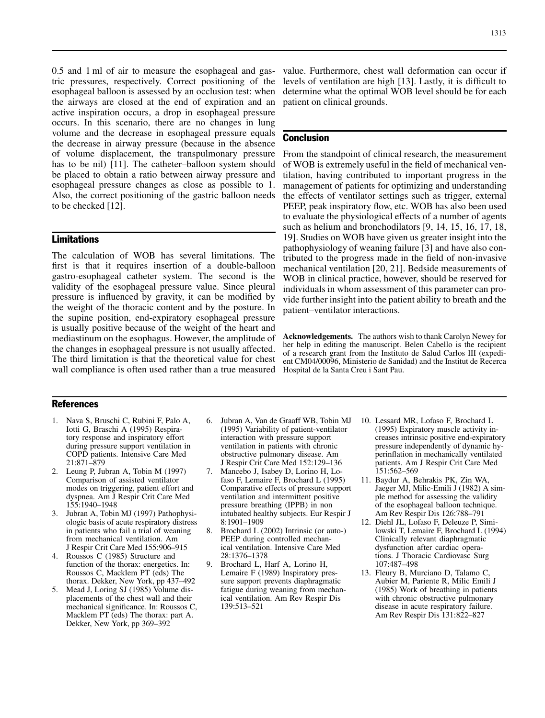0.5 and 1 ml of air to measure the esophageal and gastric pressures, respectively. Correct positioning of the esophageal balloon is assessed by an occlusion test: when the airways are closed at the end of expiration and an active inspiration occurs, a drop in esophageal pressure occurs. In this scenario, there are no changes in lung volume and the decrease in esophageal pressure equals the decrease in airway pressure (because in the absence of volume displacement, the transpulmonary pressure has to be nil) [11]. The catheter–balloon system should be placed to obtain a ratio between airway pressure and esophageal pressure changes as close as possible to 1. Also, the correct positioning of the gastric balloon needs to be checked [12].

## Limitations

The calculation of WOB has several limitations. The first is that it requires insertion of a double-balloon gastro-esophageal catheter system. The second is the validity of the esophageal pressure value. Since pleural pressure is influenced by gravity, it can be modified by the weight of the thoracic content and by the posture. In the supine position, end-expiratory esophageal pressure is usually positive because of the weight of the heart and mediastinum on the esophagus. However, the amplitude of the changes in esophageal pressure is not usually affected. The third limitation is that the theoretical value for chest wall compliance is often used rather than a true measured value. Furthermore, chest wall deformation can occur if levels of ventilation are high [13]. Lastly, it is difficult to determine what the optimal WOB level should be for each patient on clinical grounds.

## **Conclusion**

From the standpoint of clinical research, the measurement of WOB is extremely useful in the field of mechanical ventilation, having contributed to important progress in the management of patients for optimizing and understanding the effects of ventilator settings such as trigger, external PEEP, peak inspiratory flow, etc. WOB has also been used to evaluate the physiological effects of a number of agents such as helium and bronchodilators [9, 14, 15, 16, 17, 18, 19]. Studies on WOB have given us greater insight into the pathophysiology of weaning failure [3] and have also contributed to the progress made in the field of non-invasive mechanical ventilation [20, 21]. Bedside measurements of WOB in clinical practice, however, should be reserved for individuals in whom assessment of this parameter can provide further insight into the patient ability to breath and the patient–ventilator interactions.

**Acknowledgements.** The authors wish to thank Carolyn Newey for her help in editing the manuscript. Belen Cabello is the recipient of a research grant from the Instituto de Salud Carlos III (expedient CM04/00096, Ministerio de Sanidad) and the Institut de Recerca Hospital de la Santa Creu i Sant Pau.

#### References

- 1. Nava S, Bruschi C, Rubini F, Palo A, Iotti G, Braschi A (1995) Respiratory response and inspiratory effort during pressure support ventilation in COPD patients. Intensive Care Med 21:871–879
- 2. Leung P, Jubran A, Tobin M (1997) Comparison of assisted ventilator modes on triggering, patient effort and dyspnea. Am J Respir Crit Care Med 155:1940–1948
- 3. Jubran A, Tobin MJ (1997) Pathophysiologic basis of acute respiratory distress in patients who fail a trial of weaning from mechanical ventilation. Am J Respir Crit Care Med 155:906–915
- 4. Roussos C (1985) Structure and function of the thorax: energetics. In: Roussos C, Macklem PT (eds) The thorax. Dekker, New York, pp 437–492
- 5. Mead J, Loring SJ (1985) Volume displacements of the chest wall and their mechanical significance. In: Roussos C, Macklem PT (eds) The thorax: part A. Dekker, New York, pp 369–392
- 6. Jubran A, Van de Graaff WB, Tobin MJ (1995) Variability of patient-ventilator interaction with pressure support ventilation in patients with chronic obstructive pulmonary disease. Am J Respir Crit Care Med 152:129–136
- 7. Mancebo J, Isabey D, Lorino H, Lofaso F, Lemaire F, Brochard L (1995) Comparative effects of pressure support ventilation and intermittent positive pressure breathing (IPPB) in non intubated healthy subjects. Eur Respir J 8:1901–1909
- 8. Brochard L (2002) Intrinsic (or auto-) PEEP during controlled mechanical ventilation. Intensive Care Med 28:1376–1378
- 9. Brochard L, Harf A, Lorino H, Lemaire F (1989) Inspiratory pressure support prevents diaphragmatic fatigue during weaning from mechanical ventilation. Am Rev Respir Dis 139:513–521
- 10. Lessard MR, Lofaso F, Brochard L (1995) Expiratory muscle activity increases intrinsic positive end-expiratory pressure independently of dynamic hyperinflation in mechanically ventilated patients. Am J Respir Crit Care Med 151:562–569
- 11. Baydur A, Behrakis PK, Zin WA, Jaeger MJ, Milic-Emili J (1982) A simple method for assessing the validity of the esophageal balloon technique. Am Rev Respir Dis 126:788–791
- 12. Diehl JL, Lofaso F, Deleuze P, Similowski T, Lemaire F, Brochard L (1994) Clinically relevant diaphragmatic dysfunction after cardiac operations. J Thoracic Cardiovasc Surg 107:487–498
- 13. Fleury B, Murciano D, Talamo C, Aubier M, Pariente R, Milic Emili J (1985) Work of breathing in patients with chronic obstructive pulmonary disease in acute respiratory failure. Am Rev Respir Dis 131:822–827